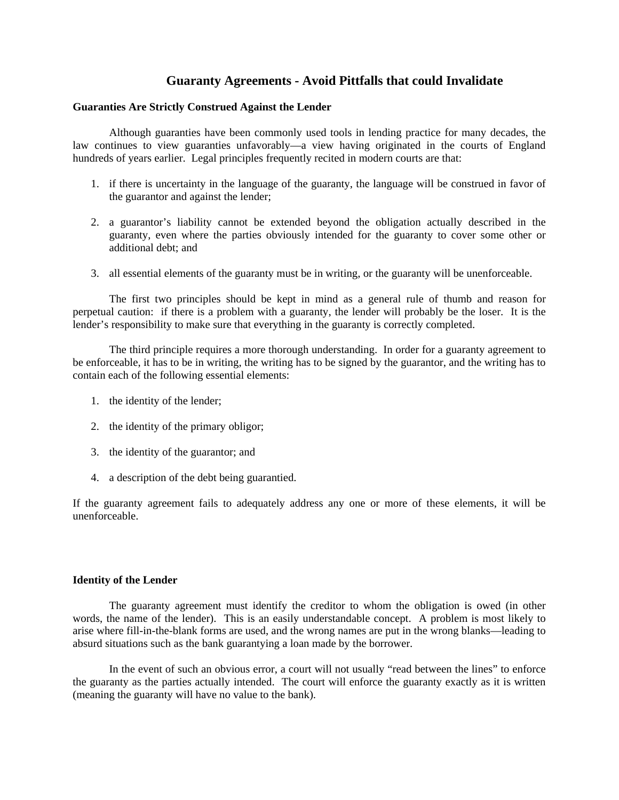# **Guaranty Agreements - Avoid Pittfalls that could Invalidate**

## **Guaranties Are Strictly Construed Against the Lender**

 Although guaranties have been commonly used tools in lending practice for many decades, the law continues to view guaranties unfavorably—a view having originated in the courts of England hundreds of years earlier. Legal principles frequently recited in modern courts are that:

- 1. if there is uncertainty in the language of the guaranty, the language will be construed in favor of the guarantor and against the lender;
- 2. a guarantor's liability cannot be extended beyond the obligation actually described in the guaranty, even where the parties obviously intended for the guaranty to cover some other or additional debt; and
- 3. all essential elements of the guaranty must be in writing, or the guaranty will be unenforceable.

 The first two principles should be kept in mind as a general rule of thumb and reason for perpetual caution: if there is a problem with a guaranty, the lender will probably be the loser. It is the lender's responsibility to make sure that everything in the guaranty is correctly completed.

 The third principle requires a more thorough understanding. In order for a guaranty agreement to be enforceable, it has to be in writing, the writing has to be signed by the guarantor, and the writing has to contain each of the following essential elements:

- 1. the identity of the lender;
- 2. the identity of the primary obligor;
- 3. the identity of the guarantor; and
- 4. a description of the debt being guarantied.

If the guaranty agreement fails to adequately address any one or more of these elements, it will be unenforceable.

## **Identity of the Lender**

 The guaranty agreement must identify the creditor to whom the obligation is owed (in other words, the name of the lender). This is an easily understandable concept. A problem is most likely to arise where fill-in-the-blank forms are used, and the wrong names are put in the wrong blanks—leading to absurd situations such as the bank guarantying a loan made by the borrower.

 In the event of such an obvious error, a court will not usually "read between the lines" to enforce the guaranty as the parties actually intended. The court will enforce the guaranty exactly as it is written (meaning the guaranty will have no value to the bank).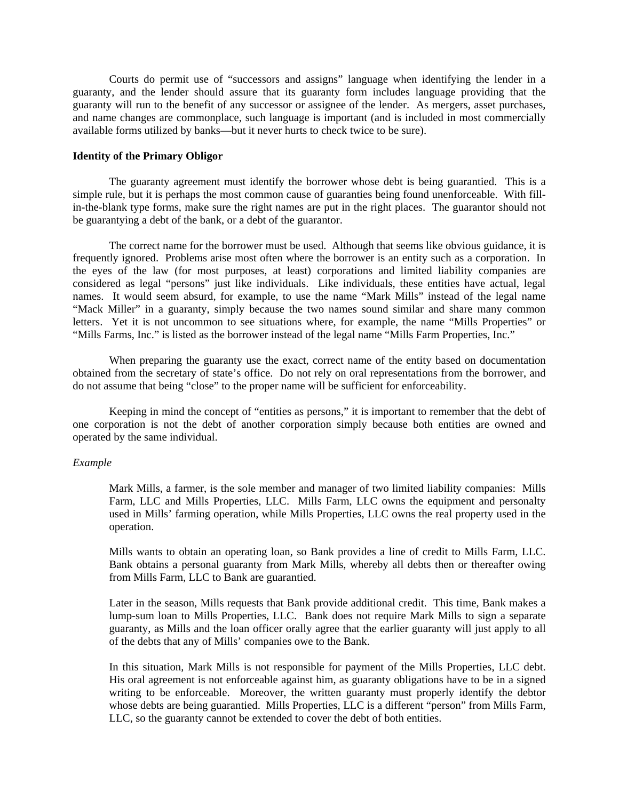Courts do permit use of "successors and assigns" language when identifying the lender in a guaranty, and the lender should assure that its guaranty form includes language providing that the guaranty will run to the benefit of any successor or assignee of the lender. As mergers, asset purchases, and name changes are commonplace, such language is important (and is included in most commercially available forms utilized by banks—but it never hurts to check twice to be sure).

## **Identity of the Primary Obligor**

 The guaranty agreement must identify the borrower whose debt is being guarantied. This is a simple rule, but it is perhaps the most common cause of guaranties being found unenforceable. With fillin-the-blank type forms, make sure the right names are put in the right places. The guarantor should not be guarantying a debt of the bank, or a debt of the guarantor.

 The correct name for the borrower must be used. Although that seems like obvious guidance, it is frequently ignored. Problems arise most often where the borrower is an entity such as a corporation. In the eyes of the law (for most purposes, at least) corporations and limited liability companies are considered as legal "persons" just like individuals. Like individuals, these entities have actual, legal names. It would seem absurd, for example, to use the name "Mark Mills" instead of the legal name "Mack Miller" in a guaranty, simply because the two names sound similar and share many common letters. Yet it is not uncommon to see situations where, for example, the name "Mills Properties" or "Mills Farms, Inc." is listed as the borrower instead of the legal name "Mills Farm Properties, Inc."

 When preparing the guaranty use the exact, correct name of the entity based on documentation obtained from the secretary of state's office. Do not rely on oral representations from the borrower, and do not assume that being "close" to the proper name will be sufficient for enforceability.

 Keeping in mind the concept of "entities as persons," it is important to remember that the debt of one corporation is not the debt of another corporation simply because both entities are owned and operated by the same individual.

### *Example*

Mark Mills, a farmer, is the sole member and manager of two limited liability companies: Mills Farm, LLC and Mills Properties, LLC. Mills Farm, LLC owns the equipment and personalty used in Mills' farming operation, while Mills Properties, LLC owns the real property used in the operation.

Mills wants to obtain an operating loan, so Bank provides a line of credit to Mills Farm, LLC. Bank obtains a personal guaranty from Mark Mills, whereby all debts then or thereafter owing from Mills Farm, LLC to Bank are guarantied.

Later in the season, Mills requests that Bank provide additional credit. This time, Bank makes a lump-sum loan to Mills Properties, LLC. Bank does not require Mark Mills to sign a separate guaranty, as Mills and the loan officer orally agree that the earlier guaranty will just apply to all of the debts that any of Mills' companies owe to the Bank.

In this situation, Mark Mills is not responsible for payment of the Mills Properties, LLC debt. His oral agreement is not enforceable against him, as guaranty obligations have to be in a signed writing to be enforceable. Moreover, the written guaranty must properly identify the debtor whose debts are being guarantied. Mills Properties, LLC is a different "person" from Mills Farm, LLC, so the guaranty cannot be extended to cover the debt of both entities.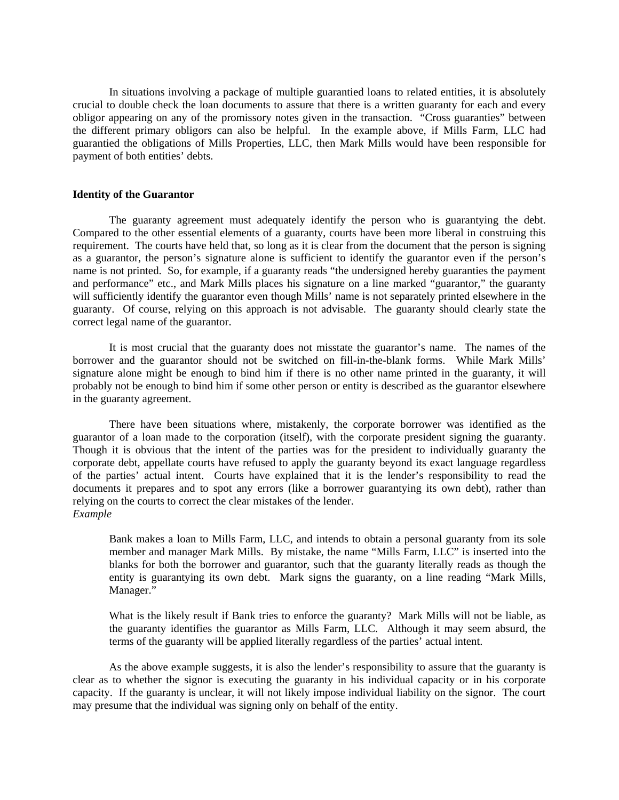In situations involving a package of multiple guarantied loans to related entities, it is absolutely crucial to double check the loan documents to assure that there is a written guaranty for each and every obligor appearing on any of the promissory notes given in the transaction. "Cross guaranties" between the different primary obligors can also be helpful. In the example above, if Mills Farm, LLC had guarantied the obligations of Mills Properties, LLC, then Mark Mills would have been responsible for payment of both entities' debts.

### **Identity of the Guarantor**

 The guaranty agreement must adequately identify the person who is guarantying the debt. Compared to the other essential elements of a guaranty, courts have been more liberal in construing this requirement. The courts have held that, so long as it is clear from the document that the person is signing as a guarantor, the person's signature alone is sufficient to identify the guarantor even if the person's name is not printed. So, for example, if a guaranty reads "the undersigned hereby guaranties the payment and performance" etc., and Mark Mills places his signature on a line marked "guarantor," the guaranty will sufficiently identify the guarantor even though Mills' name is not separately printed elsewhere in the guaranty. Of course, relying on this approach is not advisable. The guaranty should clearly state the correct legal name of the guarantor.

 It is most crucial that the guaranty does not misstate the guarantor's name. The names of the borrower and the guarantor should not be switched on fill-in-the-blank forms. While Mark Mills' signature alone might be enough to bind him if there is no other name printed in the guaranty, it will probably not be enough to bind him if some other person or entity is described as the guarantor elsewhere in the guaranty agreement.

 There have been situations where, mistakenly, the corporate borrower was identified as the guarantor of a loan made to the corporation (itself), with the corporate president signing the guaranty. Though it is obvious that the intent of the parties was for the president to individually guaranty the corporate debt, appellate courts have refused to apply the guaranty beyond its exact language regardless of the parties' actual intent. Courts have explained that it is the lender's responsibility to read the documents it prepares and to spot any errors (like a borrower guarantying its own debt), rather than relying on the courts to correct the clear mistakes of the lender. *Example*

Bank makes a loan to Mills Farm, LLC, and intends to obtain a personal guaranty from its sole member and manager Mark Mills. By mistake, the name "Mills Farm, LLC" is inserted into the blanks for both the borrower and guarantor, such that the guaranty literally reads as though the entity is guarantying its own debt. Mark signs the guaranty, on a line reading "Mark Mills, Manager."

What is the likely result if Bank tries to enforce the guaranty? Mark Mills will not be liable, as the guaranty identifies the guarantor as Mills Farm, LLC. Although it may seem absurd, the terms of the guaranty will be applied literally regardless of the parties' actual intent.

 As the above example suggests, it is also the lender's responsibility to assure that the guaranty is clear as to whether the signor is executing the guaranty in his individual capacity or in his corporate capacity. If the guaranty is unclear, it will not likely impose individual liability on the signor. The court may presume that the individual was signing only on behalf of the entity.